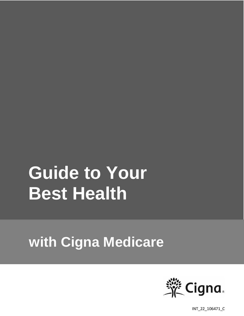# **Guide to Your Best Health**

## **with Cigna Medicare**



INT\_22\_106471\_C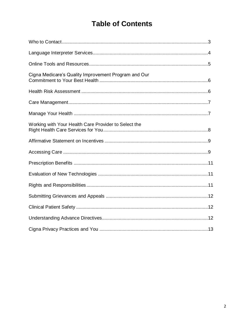## **Table of Contents**

| Cigna Medicare's Quality Improvement Program and Our |  |
|------------------------------------------------------|--|
|                                                      |  |
|                                                      |  |
|                                                      |  |
| Working with Your Health Care Provider to Select the |  |
|                                                      |  |
|                                                      |  |
|                                                      |  |
|                                                      |  |
|                                                      |  |
|                                                      |  |
|                                                      |  |
|                                                      |  |
|                                                      |  |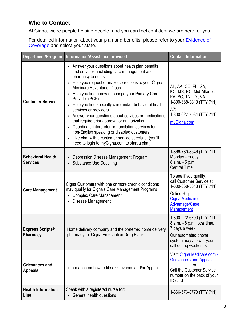## **Who to Contact**

At Cigna, we're people helping people, and you can feel confident we are here for you.

For detailed information about your plan and benefits, please refer to your **Evidence of** [Coverage](https://www.cigna.com/medicare/resources/eoc) and select your state.

| Department/Program                          | Information/Assistance provided                                                                                                                                                                                                                                                                                                                                                                                                                                                                                                                                                                                                                                                                                                                                     | <b>Contact Information</b>                                                                                                                                            |
|---------------------------------------------|---------------------------------------------------------------------------------------------------------------------------------------------------------------------------------------------------------------------------------------------------------------------------------------------------------------------------------------------------------------------------------------------------------------------------------------------------------------------------------------------------------------------------------------------------------------------------------------------------------------------------------------------------------------------------------------------------------------------------------------------------------------------|-----------------------------------------------------------------------------------------------------------------------------------------------------------------------|
| <b>Customer Service</b>                     | > Answer your questions about health plan benefits<br>and services, including care management and<br>pharmacy benefits<br>Help you request or make corrections to your Cigna<br>$\lambda$<br>Medicare Advantage ID card<br>Help you find a new or change your Primary Care<br>$\lambda$<br>Provider (PCP)<br>Help you find specialty care and/or behavioral health<br>$\lambda$<br>services or providers<br>Answer your questions about services or medications<br>$\lambda$<br>that require prior approval or authorization<br>Coordinate interpreter or translation services for<br>$\lambda$<br>non-English speaking or disabled customers<br>Live chat with a customer service specialist (you'll<br>$\lambda$<br>need to login to myCigna.com to start a chat) | AL, AK, CO, FL, GA, IL,<br>KC, MS, NC, Mid-Atlantic,<br>PA, SC, TN, TX, VA:<br>1-800-668-3813 (TTY 711)<br>AZ:<br>1-800-627-7534 (TTY 711)<br>myCigna.com             |
| <b>Behavioral Health</b><br><b>Services</b> | Depression Disease Management Program<br>$\lambda$<br><b>Substance Use Coaching</b><br>$\lambda$                                                                                                                                                                                                                                                                                                                                                                                                                                                                                                                                                                                                                                                                    | 1-866-780-8546 (TTY 711)<br>Monday - Friday,<br>8 a.m. - 5 p.m.<br><b>Central Time</b>                                                                                |
| <b>Care Management</b>                      | Cigna Customers with one or more chronic conditions<br>may qualify for Cigna's Care Management Programs:<br><b>Complex Care Management</b><br>$\lambda$<br>Disease Management<br>$\lambda$                                                                                                                                                                                                                                                                                                                                                                                                                                                                                                                                                                          | To see if you qualify,<br>call Customer Service at<br>1-800-668-3813 (TTY 711)<br>Online Help:<br><b>Cigna Medicare</b><br><b>Advantage/Case</b><br><b>Management</b> |
| <b>Express Scripts®</b><br><b>Pharmacy</b>  | Home delivery company and the preferred home delivery<br>pharmacy for Cigna Prescription Drug Plans                                                                                                                                                                                                                                                                                                                                                                                                                                                                                                                                                                                                                                                                 | 1-800-222-6700 (TTY 711)<br>8 a.m. - 8 p.m. local time,<br>7 days a week<br>Our automated phone<br>system may answer your<br>call during weekends                     |
| <b>Grievances and</b><br><b>Appeals</b>     | Information on how to file a Grievance and/or Appeal                                                                                                                                                                                                                                                                                                                                                                                                                                                                                                                                                                                                                                                                                                                | Visit: Cigna Medicare.com -<br><b>Grievance's and Appeals</b><br>or<br>Call the Customer Service<br>number on the back of your<br>ID card                             |
| <b>Health Information</b><br>Line           | Speak with a registered nurse for:<br>> General health questions                                                                                                                                                                                                                                                                                                                                                                                                                                                                                                                                                                                                                                                                                                    | 1-866-576-8773 (TTY 711)                                                                                                                                              |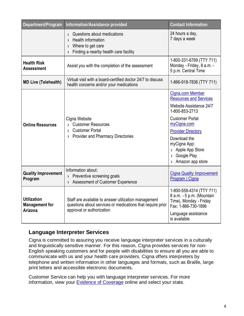| Department/Program                                     | Information/Assistance provided                                                                                                                          | <b>Contact Information</b>                                                                                                                                                                                                                                   |
|--------------------------------------------------------|----------------------------------------------------------------------------------------------------------------------------------------------------------|--------------------------------------------------------------------------------------------------------------------------------------------------------------------------------------------------------------------------------------------------------------|
|                                                        | Questions about medications<br>$\lambda$<br>Health information<br>$\lambda$<br>> Where to get care<br>Finding a nearby health care facility<br>$\lambda$ | 24 hours a day,<br>7 days a week                                                                                                                                                                                                                             |
| <b>Health Risk</b><br><b>Assessment</b>                | Assist you with the completion of the assessment                                                                                                         | 1-800-331-6769 (TTY 711)<br>Monday - Friday, 8 a.m. -<br>5 p.m. Central Time                                                                                                                                                                                 |
| <b>MD Live (Telehealth)</b>                            | Virtual visit with a board-certified doctor 24/7 to discuss<br>health concerns and/or your medications                                                   | 1-866-918-7836 (TTY 711)                                                                                                                                                                                                                                     |
| <b>Online Resources</b>                                | Cigna Website<br><b>Customer Resources</b><br>$\sum$<br>> Customer Portal<br>> Provider and Pharmacy Directories                                         | Cigna.com Member<br><b>Resources and Services</b><br>Website Assistance 24/7<br>1-800-853-2713<br><b>Customer Portal</b><br>myCigna.com<br><b>Provider Directory</b><br>Download the<br>myCigna App:<br>> Apple App Store<br>Google Play<br>Amazon app store |
| <b>Quality Improvement</b><br>Program                  | Information about:<br>> Preventive screening goals<br>Assessment of Customer Experience<br>$\lambda$                                                     | <b>Cigna Quality Improvement</b><br>Program   Cigna                                                                                                                                                                                                          |
| <b>Utilization</b><br><b>Management for</b><br>Arizona | Staff are available to answer utilization management<br>questions about services or medications that require prior<br>approval or authorization          | 1-800-558-4314 (TTY 711)<br>8 a.m. - 5 p.m. (Mountain<br>Time), Monday - Friday<br>Fax: 1-866-730-1896<br>Language assistance<br>is available                                                                                                                |

## **Language Interpreter Services**

Cigna is committed to assuring you receive language interpreter services in a culturally and linguistically sensitive manner. For this reason, Cigna provides services for non-English speaking customers and for people with disabilities to ensure all you are able to communicate with us and your health care providers. Cigna offers interpreters by telephone and written information in other languages and formats, such as Braille, large print letters and accessible electronic documents.

Customer Service can help you with language interpreter services. For more information, view your [Evidence of Coverage](https://www.cigna.com/medicare/resources/eoc) online and select your state.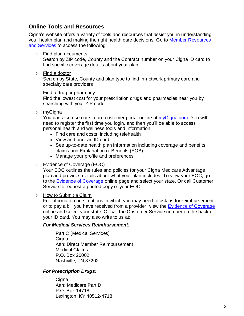## **Online Tools and Resources**

Cigna's website offers a variety of tools and resources that assist you in understanding your health plan and making the right health care decisions. Go to [Member Resources](https://www.cigna.com/medicare/resources/)  [and Services](https://www.cigna.com/medicare/resources/) to access the following:

- › Find plan documents Search by ZIP code, County and the Contract number on your Cigna ID card to find specific coverage details about your plan
- › Find a doctor

Search by State, County and plan type to find in-network primary care and specialty care providers

› Find a drug or pharmacy

Find the lowest cost for your prescription drugs and pharmacies near you by searching with your ZIP code

› myCigna

You can also use our secure customer portal online at [myCigna.com](https://my.cigna.com/web/public/guest?_ga=2.186496495.739555795.1633973104-414560146.1633027746)[.](www.myCigna.com) You will need to register the first time you login, and then you'll be able to access personal health and wellness tools and information:

- Find care and costs, including telehealth
- View and print an ID card
- See up-to-date health plan information including coverage and benefits, claims and Explanation of Benefits (EOB)
- Manage your profile and preferences
- › Evidence of Coverage (EOC)

Your EOC outlines the rules and policies for your Cigna Medicare Advantage plan and provides details about what your plan includes. To view your EOC, go to the [Evidence of Coverage](https://www.cigna.com/medicare/resources/eoc) online page and select your state. Or call Customer Service to request a printed copy of your EOC.

#### › How to Submit a Claim

For information on situations in which you may need to ask us for reimbursement or to pay a bill you have received from a provider, view the [Evidence of Coverage](https://www.cigna.com/medicare/resources/eoc) online and select your state. Or call the Customer Service number on the back of your ID card. You may also write to us at:

#### *For Medical Services Reimbursement:*

Part C (Medical Services) Cigna Attn: Direct Member Reimbursement Medical Claims P.O. Box 20002 Nashville, TN 37202

#### *For Prescription Drugs:*

**Cigna** Attn: Medicare Part D P.O. Box 14718 Lexington, KY 40512-4718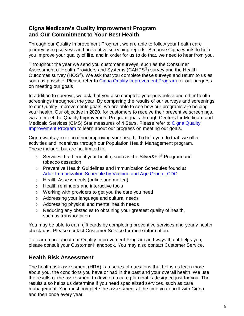## **Cigna Medicare's Quality Improvement Program and Our Commitment to Your Best Health**

Through our Quality Improvement Program, we are able to follow your health care journey using surveys and preventive screening reports. Because Cigna wants to help you improve your quality of life, and in order for us to do that, we need to hear from you.

Throughout the year we send you customer surveys, such as the Consumer Assessment of Health Providers and Systems (CAHPS<sup>®</sup>) survey and the Health Outcomes survey (HOS $^{\circledast}$ ). We ask that you complete these surveys and return to us as soon as possible. Please refer to [Cigna Quality Improvement Program](https://www.cigna.com/medicare/resources/quality-improvement) for our progress on meeting our goals.

In addition to surveys, we ask that you also complete your preventive and other health screenings throughout the year. By comparing the results of our surveys and screenings to our Quality Improvements goals, we are able to see how our programs are helping your health. Our objective in 2020, for customers to receive their preventive screenings, was to meet the Quality Improvement Program goals through Centers for Medicare and Medicaid Services (CMS) Star measures of 4 Stars. Please refer to [Cigna Quality](https://www.cigna.com/medicare/resources/quality-improvement)  [Improvement Program](https://www.cigna.com/medicare/resources/quality-improvement) to learn about our progress on meeting our goals.

Cigna wants you to continue improving your health. To help you do that, we offer activities and incentives through our Population Health Management program. These include, but are not limited to:

- › Services that benefit your health, such as the Silver&Fit® Program and tobacco cessation
- › Preventive Health Guidelines and Immunization Schedules found at [Adult Immunization Schedule by Vaccine and Age Group | CDC](https://www.cdc.gov/vaccines/schedules/hcp/imz/adult.html?CDC_AA_refVal=https%3A%2F%2Fwww.cdc.gov%2Fvaccines%2Fschedules%2Fhcp%2Fadult.html)
- › Health Assessments (online and mailed)
- › Health reminders and interactive tools
- › Working with providers to get you the care you need
- › Addressing your language and cultural needs
- › Addressing physical and mental health needs
- › Reducing any obstacles to obtaining your greatest quality of health, such as transportation

You may be able to earn gift cards by completing preventive services and yearly health check-ups. Please contact Customer Service for more information.

To learn more about our Quality Improvement Program and ways that it helps you, please consult your Customer Handbook. You may also contact Customer Service.

## **Health Risk Assessment**

The health risk assessment (HRA) is a series of questions that helps us learn more about you, the conditions you have or had in the past and your overall health. We use the results of the assessment to develop a care plan that is designed just for you. The results also helps us determine if you need specialized services, such as care management. You must complete the assessment at the time you enroll with Cigna and then once every year.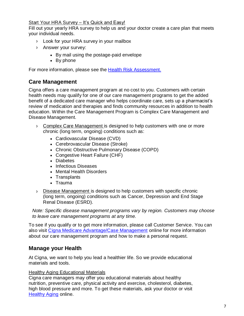#### Start Your HRA Survey – It's Quick and Easy!

Fill out your yearly HRA survey to help us and your doctor create a care plan that meets your individual needs.

- › Look for your HRA survey in your mailbox
- › Answer your survey:
	- By mail using the postage-paid envelope
	- By phone

For more information, please see the **Health Risk Assessment.** 

## **Care Management**

Cigna offers a care management program at no cost to you. Customers with certain health needs may qualify for one of our care management programs to get the added benefit of a dedicated care manager who helps coordinate care, sets up a pharmacist's review of medication and therapies and finds community resources in addition to health education. Within the Care Management Program is Complex Care Management and Disease Management.

- › Complex Care Management is designed to help customers with one or more chronic (long term, ongoing) conditions such as:
	- Cardiovascular Disease (CVD)
	- Cerebrovascular Disease (Stroke)
	- Chronic Obstructive Pulmonary Disease (COPD)
	- Congestive Heart Failure (CHF)
	- Diabetes
	- Infectious Diseases
	- Mental Health Disorders
	- Transplants
	- Trauma
- › Disease Management is designed to help customers with specific chronic (long term, ongoing) conditions such as Cancer, Depression and End Stage Renal Disease (ESRD).

*Note: Specific disease management programs vary by region. Customers may choose to leave care management programs at any time.* 

To see if you qualify or to get more information, please call Customer Service. You can also visit [Cigna Medicare Advantage/Case Management](https://www.cigna.com/medicare/medicare-advantage/case-management) online for more information about our care management program and how to make a personal request.

## **Manage your Health**

At Cigna, we want to help you lead a healthier life. So we provide educational materials and tools.

#### Healthy Aging Educational Materials

Cigna care managers may offer you educational materials about healthy nutrition, preventive care, physical activity and exercise, cholesterol, diabetes, high blood pressure and more. To get these materials, ask your doctor or visit [Healthy Aging](https://www.cigna.com/medicare/healthy-aging/) online.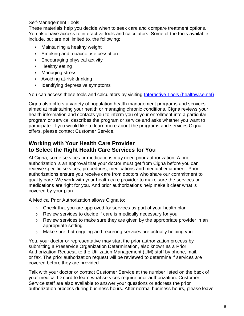#### Self-Management Tools

These materials help you decide when to seek care and compare treatment options. You also have access to interactive tools and calculators. Some of the tools available include, but are not limited to, the following:

- › Maintaining a healthy weight
- › Smoking and tobacco use cessation
- › Encouraging physical activity
- › Healthy eating
- › Managing stress
- › Avoiding at-risk drinking
- › Identifying depressive symptoms

You can access these tools and calculators by visiting [Interactive Tools \(healthwise.net\)](https://www.healthwise.net/cigna/Content/StdDocument.aspx?DOCHWID=tu6657)

Cigna also offers a variety of population health management programs and services aimed at maintaining your health or managing chronic conditions. Cigna reviews your health information and contacts you to inform you of your enrollment into a particular program or service, describes the program or service and asks whether you want to participate. If you would like to learn more about the programs and services Cigna offers, please contact Customer Service.

## **Working with Your Health Care Provider to Select the Right Health Care Services for You**

At Cigna, some services or medications may need prior authorization. A prior authorization is an approval that your doctor must get from Cigna before you can receive specific services, procedures, medications and medical equipment. Prior authorizations ensure you receive care from doctors who share our commitment to quality care. We work with your health care provider to make sure the services or medications are right for you. And prior authorizations help make it clear what is covered by your plan.

A Medical Prior Authorization allows Cigna to:

- › Check that you are approved for services as part of your health plan
- › Review services to decide if care is medically necessary for you
- › Review services to make sure they are given by the appropriate provider in an appropriate setting
- › Make sure that ongoing and recurring services are actually helping you

You, your doctor or representative may start the prior authorization process by submitting a Preservice Organization Determination, also known as a Prior Authorization Request, to the Utilization Management (UM) staff by phone, mail, or fax. The prior authorization request will be reviewed to determine if services are covered before they are provided.

Talk with your doctor or contact Customer Service at the number listed on the back of your medical ID card to learn what services require prior authorization. Customer Service staff are also available to answer your questions or address the prior authorization process during business hours. After normal business hours, please leave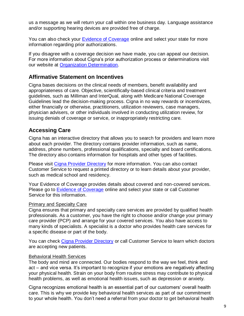us a message as we will return your call within one business day. Language assistance and/or supporting hearing devices are provided free of charge.

You can also check your **Evidence of Coverage** online and select your state for more information regarding prior authorizations.

If you disagree with a coverage decision we have made, you can appeal our decision. For more information about Cigna's prior authorization process or determinations visit our website at [Organization Determination.](https://www.cigna.com/medicare/resources/organization-determination)

## **Affirmative Statement on Incentives**

Cigna bases decisions on the clinical needs of members, benefit availability and appropriateness of care. Objective, scientifically-based clinical criteria and treatment guidelines, such as Milliman and InterQual, along with Medicare National Coverage Guidelines lead the decision-making process. Cigna in no way rewards or incentivizes, either financially or otherwise, practitioners, utilization reviewers, case managers, physician advisers, or other individuals involved in conducting utilization review, for issuing denials of coverage or service, or inappropriately restricting care.

## **Accessing Care**

Cigna has an interactive directory that allows you to search for providers and learn more about each provider. The directory contains provider information, such as name, address, phone numbers, professional qualifications, specialty and board certifications. The directory also contains information for hospitals and other types of facilities.

Please visit [Cigna Provider Directory](https://providersearch.hsconnectonline.com/Directory/) for more information. You can also contact Customer Service to request a printed directory or to learn details about your provider, such as medical school and residency.

Your Evidence of Coverage provides details about covered and non-covered services. Please go to [Evidence of Coverage](https://www.cigna.com/medicare/resources/eoc) online and select your state or call Customer Service for this information.

#### Primary and Specialty Care

Cigna ensures that primary and specialty care services are provided by qualified health professionals. As a customer, you have the right to choose and/or change your primary care provider (PCP) and arrange for your covered services. You also have access to many kinds of specialists. A specialist is a doctor who provides health care services for a specific disease or part of the body.

You can check [Cigna Provider Directory](https://providersearch.hsconnectonline.com/Directory/) or call Customer Service to learn which doctors are accepting new patients.

#### Behavioral Health Services

The body and mind are connected. Our bodies respond to the way we feel, think and act – and vice versa. It's important to recognize if your emotions are negatively affecting your physical health. Strain on your body from routine stress may contribute to physical health problems, as well as emotional health issues, such as depression or anxiety.

Cigna recognizes emotional health is an essential part of our customers' overall health care. This is why we provide key behavioral health services as part of our commitment to your whole health. You don't need a referral from your doctor to get behavioral health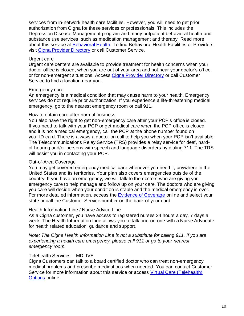services from in-network health care facilities. However, you will need to get prior authorization from Cigna for these services or professionals. This includes the Depression Disease Management program and many outpatient behavioral health and substance use services, such as medication management and therapy. Read more about this service at [Behavioral Health.](https://www.cigna.com/medicare/medicare-advantage/behavioral-health) To find Behavioral Health Facilities or Providers, visit [Cigna Provider Directory](https://www.cigna.com/medicare/resources/provider-pharmacy-directories) or call Customer Service.

#### Urgent care

Urgent care centers are available to provide treatment for health concerns when your doctor office is closed, when you are out of your area and not near your doctor's office, or for non-emergent situations. Access [Cigna Provider Directory](https://www.cigna.com/medicare/resources/provider-pharmacy-directories) or call Customer Service to find a location near you.

#### Emergency care

An emergency is a medical condition that may cause harm to your health. Emergency services do not require prior authorization. If you experience a life-threatening medical emergency, go to the nearest emergency room or call 911.

#### How to obtain care after normal business

You also have the right to get non-emergency care after your PCP's office is closed. If you need to talk with your PCP or get medical care when the PCP office is closed, and it is not a medical emergency, call the PCP at the phone number found on your ID card. There is always a doctor on call to help you when your PCP isn't available. The Telecommunications Relay Service (TRS) provides a relay service for deaf, hardof-hearing and/or persons with speech and language disorders by dialing 711. The TRS will assist you in contacting your PCP.

#### Out-of-Area Coverage

You may get covered emergency medical care whenever you need it, anywhere in the United States and its territories. Your plan also covers emergencies outside of the country. If you have an emergency, we will talk to the doctors who are giving you emergency care to help manage and follow up on your care. The doctors who are giving you care will decide when your condition is stable and the medical emergency is over. For more detailed information, access the [Evidence of Coverage](https://www.cigna.com/medicare/resources/eoc) online and select your state or call the Customer Service number on the back of your card.

#### Health Information Line / Nurse Advice Line

As a Cigna customer, you have access to registered nurses 24 hours a day, 7 days a week. The Health Information Line allows you to talk one-on-one with a Nurse Advocate for health related education, guidance and support.

*Note: The Cigna Health Information Line is not a substitute for calling 911. If you are experiencing a health care emergency, please call 911 or go to your nearest emergency room.*

#### Telehealth Services – MDLIVE

Cigna Customers can talk to a board certified doctor who can treat non-emergency medical problems and prescribe medications when needed. You can contact Customer Service for more information about this service or access [Virtual Care \(Telehealth\)](https://www.cigna.com/individuals-families/member-resources/virtual-care-options)  [Options](https://www.cigna.com/individuals-families/member-resources/virtual-care-options) online.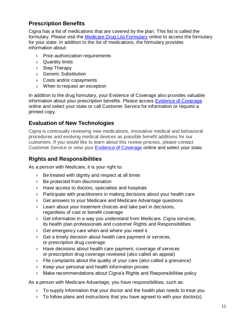## **Prescription Benefits**

Cigna has a list of medications that are covered by the plan. This list is called the formulary. Please visit the [Medicare Drug List Formulary](https://www.cigna.com/medicare/resources/drug-list-formulary) online to access the formulary for your state. In addition to the list of medications, the formulary provides information about:

- › Prior-authorization requirements
- › Quantity limits
- › Step Therapy
- › Generic Substitution
- › Costs and/or copayments
- › When to request an exception

In addition to the drug formulary, your Evidence of Coverage also provides valuable information about your prescription benefits. Please access [Evidence of Coverage](https://www.cigna.com/medicare/resources/eoc)  online and select your state or call Customer Service for information or request a printed copy.

## **Evaluation of New Technologies**

Cigna is continually reviewing new medications, innovative medical and behavioral procedures and evolving medical devices as possible benefit additions for our customers. If you would like to learn about this review process, please contact Customer Service or view your [Evidence of Coverage](https://www.cigna.com/medicare/resources/eoc) online and select your state.

## **Rights and Responsibilities**

As a person with Medicare, it is your right to:

- › Be treated with dignity and respect at all times
- › Be protected from discrimination
- › Have access to doctors, specialists and hospitals
- › Participate with practitioners in making decisions about your health care
- › Get answers to your Medicare and Medicare Advantage questions
- › Learn about your treatment choices and take part in decisions, regardless of cost or benefit coverage
- › Get information in a way you understand from Medicare, Cigna services, its health plan professionals and customer Rights and Responsibilities
- › Get emergency care when and where you need it
- › Get a timely decision about health care payment or services, or prescription drug coverage
- › Have decisions about health care payment, coverage of services or prescription drug coverage reviewed (also called an appeal)
- › File complaints about the quality of your care (also called a grievance)
- › Keep your personal and health information private
- › Make recommendations about Cigna's Rights and Responsibilities policy

As a person with Medicare Advantage, you have responsibilities, such as:

- › To supply information that your doctor and the health plan needs to treat you
- › To follow plans and instructions that you have agreed to with your doctor(s)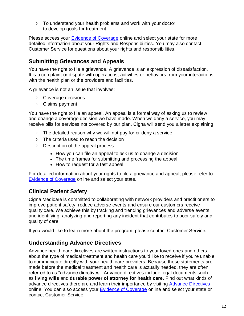› To understand your health problems and work with your doctor to develop goals for treatment

Please access your **Evidence of Coverage** online and select your state for more detailed information about your Rights and Responsibilities. You may also contact Customer Service for questions about your rights and responsibilities.

## **Submitting Grievances and Appeals**

You have the right to file a grievance. A grievance is an expression of dissatisfaction. It is a complaint or dispute with operations, activities or behaviors from your interactions with the health plan or the providers and facilities.

A grievance is not an issue that involves:

- › Coverage decisions
- › Claims payment

You have the right to file an appeal. An appeal is a formal way of asking us to review and change a coverage decision we have made. When we deny a service, you may receive bills for services not covered by our plan. Cigna will send you a letter explaining:

- › The detailed reason why we will not pay for or deny a service
- › The criteria used to reach the decision
- › Description of the appeal process:
	- How you can file an appeal to ask us to change a decision
	- The time frames for submitting and processing the appeal
	- How to request for a fast appeal

For detailed information about your rights to file a grievance and appeal, please refer to [Evidence of Coverage](https://www.cigna.com/medicare/resources/eoc) online and select your state.

## **Clinical Patient Safety**

Cigna Medicare is committed to collaborating with network providers and practitioners to improve patient safety, reduce adverse events and ensure our customers receive quality care. We achieve this by tracking and trending grievances and adverse events and identifying, analyzing and reporting any incident that contributes to poor safety and quality of care.

If you would like to learn more about the program, please contact Customer Service.

## **Understanding Advance Directives**

Advance health care directives are written instructions to your loved ones and others about the type of medical treatment and health care you'd like to receive if you're unable to communicate directly with your health care providers. Because these statements are made before the medical treatment and health care is actually needed, they are often referred to as "advance directives." Advance directives include legal documents such as **living wills** and **durable power of attorney for health care**. Find out what kinds of advance directives there are and learn their importance by visiting [Advance Directives](https://www.cigna.com/medicare/healthy-aging/advance-directives) online. You can also access your [Evidence of Coverage](https://www.cigna.com/medicare/resources/eoc) online and select your state or contact Customer Service.